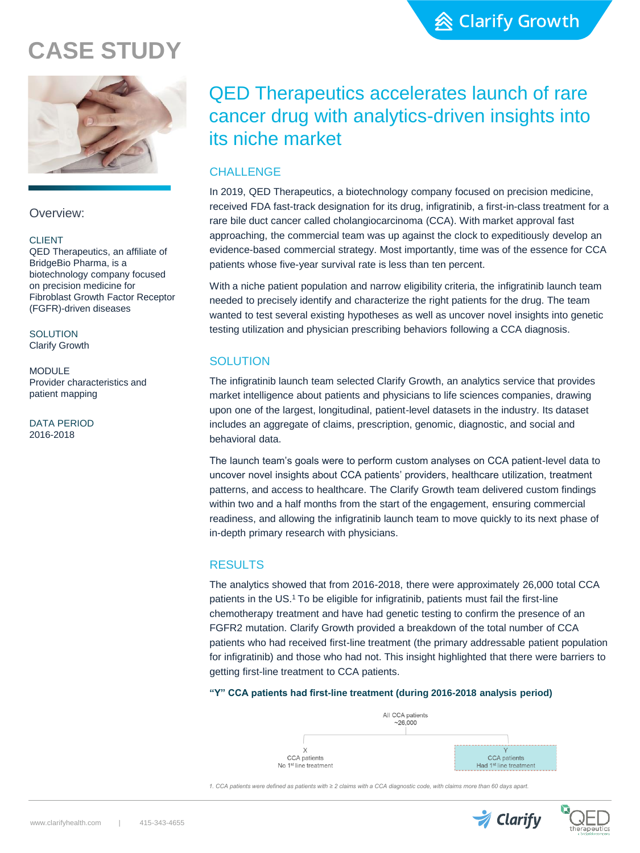# **CASE STUDY**



Overview:

#### **CLIENT**

QED Therapeutics, an affiliate of BridgeBio Pharma, is a biotechnology company focused on precision medicine for Fibroblast Growth Factor Receptor (FGFR)-driven diseases

**SOLUTION** Clarify Growth

MODULE Provider characteristics and patient mapping

DATA PERIOD 2016-2018

## QED Therapeutics accelerates launch of rare cancer drug with analytics-driven insights into its niche market

## **CHALLENGE**

In 2019, QED Therapeutics, a biotechnology company focused on precision medicine, received FDA fast-track designation for its drug, infigratinib, a first-in-class treatment for a rare bile duct cancer called cholangiocarcinoma (CCA). With market approval fast approaching, the commercial team was up against the clock to expeditiously develop an evidence-based commercial strategy. Most importantly, time was of the essence for CCA patients whose five-year survival rate is less than ten percent.

With a niche patient population and narrow eligibility criteria, the infigratinib launch team needed to precisely identify and characterize the right patients for the drug. The team wanted to test several existing hypotheses as well as uncover novel insights into genetic testing utilization and physician prescribing behaviors following a CCA diagnosis.

## **SOLUTION**

The infigratinib launch team selected Clarify Growth, an analytics service that provides market intelligence about patients and physicians to life sciences companies, drawing upon one of the largest, longitudinal, patient-level datasets in the industry. Its dataset includes an aggregate of claims, prescription, genomic, diagnostic, and social and behavioral data.

The launch team's goals were to perform custom analyses on CCA patient-level data to uncover novel insights about CCA patients' providers, healthcare utilization, treatment patterns, and access to healthcare. The Clarify Growth team delivered custom findings within two and a half months from the start of the engagement, ensuring commercial readiness, and allowing the infigratinib launch team to move quickly to its next phase of in-depth primary research with physicians.

## RESULTS

The analytics showed that from 2016-2018, there were approximately 26,000 total CCA patients in the US.<sup>1</sup> To be eligible for infigratinib, patients must fail the first-line chemotherapy treatment and have had genetic testing to confirm the presence of an FGFR2 mutation. Clarify Growth provided a breakdown of the total number of CCA patients who had received first-line treatment (the primary addressable patient population for infigratinib) and those who had not. This insight highlighted that there were barriers to getting first-line treatment to CCA patients.

#### **"Y" CCA patients had first-line treatment (during 2016-2018 analysis period)**



*1. CCA patients were defined as patients with ≥ 2 claims with a CCA diagnostic code, with claims more than 60 days apart.*